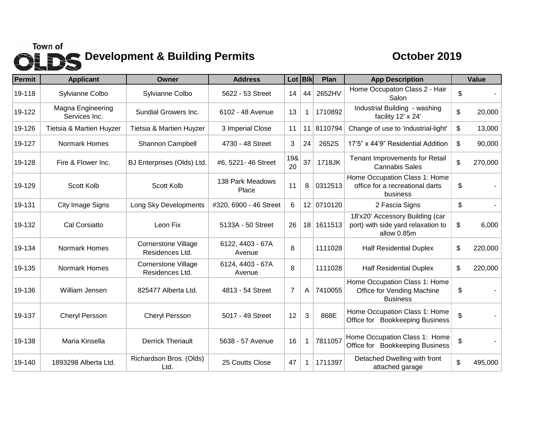## Town of<br> **Development & Building Permits** October 2019

| <b>Permit</b> | <b>Applicant</b>                   | Owner                                         | <b>Address</b>             | Lot Blk        |             | Plan       | <b>App Description</b>                                                               | <b>Value</b>  |
|---------------|------------------------------------|-----------------------------------------------|----------------------------|----------------|-------------|------------|--------------------------------------------------------------------------------------|---------------|
| 19-118        | Sylvianne Colbo                    | Sylvianne Colbo                               | 5622 - 53 Street           | 14             | 44          | 2652HV     | Home Occupaton Class 2 - Hair<br>Salon                                               | \$            |
| 19-122        | Magna Engineering<br>Services Inc. | Sundial Growers Inc.                          | 6102 - 48 Avenue           | 13             | $\mathbf 1$ | 1710892    | Industrial Building - washing<br>facility 12' x 24'                                  | \$<br>20,000  |
| 19-126        | Tietsia & Martien Huyzer           | Tietsia & Martien Huyzer                      | 3 Imperial Close           | 11             | 11          | 8110794    | Change of use to 'industrial-light'                                                  | \$<br>13,000  |
| 19-127        | Normark Homes                      | Shannon Campbell                              | 4730 - 48 Street           | 3              | 24          | 2652S      | 17'5" x 44'9" Residential Addition                                                   | \$<br>90,000  |
| 19-128        | Fire & Flower Inc.                 | BJ Enterprises (Olds) Ltd.                    | #6, 5221-46 Street         | 19&<br>20      | 37          | 1718JK     | <b>Tenant Improvements for Retail</b><br><b>Cannabis Sales</b>                       | \$<br>270,000 |
| 19-129        | Scott Kolb                         | Scott Kolb                                    | 138 Park Meadows<br>Place  | 11             | 8           | 0312513    | Home Occupation Class 1: Home<br>office for a recreational darts<br>business         | \$            |
| 19-131        | <b>City Image Signs</b>            | Long Sky Developments                         | #320, 6900 - 46 Street     | 6              |             | 12 0710120 | 2 Fascia Signs                                                                       | \$            |
| 19-132        | Cal Corsiatto                      | Leon Fix                                      | 5133A - 50 Street          | 26             |             | 18 1611513 | 18'x20' Accessory Building (car<br>port) with side yard relaxation to<br>allow 0.85m | \$<br>6,000   |
| 19-134        | Normark Homes                      | <b>Cornerstone Village</b><br>Residences Ltd. | 6122, 4403 - 67A<br>Avenue | 8              |             | 1111028    | <b>Half Residential Duplex</b>                                                       | \$<br>220,000 |
| 19-135        | Normark Homes                      | <b>Cornerstone Village</b><br>Residences Ltd. | 6124, 4403 - 67A<br>Avenue | 8              |             | 1111028    | <b>Half Residential Duplex</b>                                                       | \$<br>220,000 |
| 19-136        | William Jensen                     | 825477 Alberta Ltd.                           | 4813 - 54 Street           | $\overline{7}$ | Α           | 7410055    | Home Occupation Class 1: Home<br>Office for Vending Machine<br><b>Business</b>       | \$            |
| 19-137        | <b>Cheryl Persson</b>              | <b>Cheryl Persson</b>                         | 5017 - 49 Street           | 12             | 3           | 868E       | Home Occupation Class 1: Home<br>Office for Bookkeeping Business                     | \$            |
| 19-138        | Maria Kinsella                     | <b>Derrick Theriault</b>                      | 5638 - 57 Avenue           | 16             | 1           | 7811057    | Home Occupation Class 1: Home<br>Office for Bookkeeping Business                     | \$            |
| 19-140        | 1893298 Alberta Ltd.               | Richardson Bros. (Olds)<br>Ltd.               | 25 Coutts Close            | 47             | 1           | 1711397    | Detached Dwelling with front<br>attached garage                                      | \$<br>495,000 |